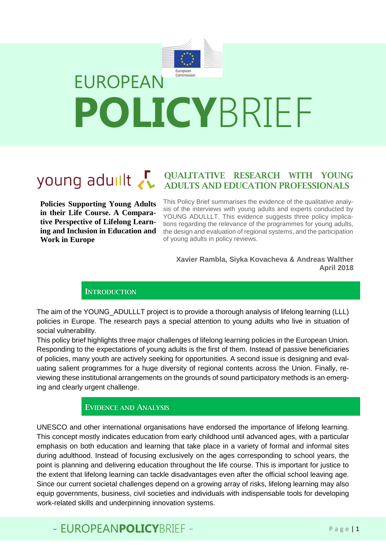

# young aduilt

**Policies Supporting Young Adults in their Life Course. A Comparative Perspective of Lifelong Learning and Inclusion in Education and Work in Europe**

QUALITATIVE RESEARCH WITH YOUNG ADULTS AND EDUCATION PROFESSIONALS

This Policy Brief summarises the evidence of the qualitative analysis of the interviews with young adults and experts conducted by YOUNG ADULLLT. This evidence suggests three policy implications regarding the relevance of the programmes for young adults, the design and evaluation of regional systems, and the participation of young adults in policy reviews.

**Xavier Rambla, Siyka Kovacheva & Andreas Walther April 2018**

#### **INTRODUCTION**

The aim of the YOUNG ADULLLT project is to provide a thorough analysis of lifelong learning (LLL) policies in Europe. The research pays a special attention to young adults who live in situation of social vulnerability.

This policy brief highlights three major challenges of lifelong learning policies in the European Union. Responding to the expectations of young adults is the first of them. Instead of passive beneficiaries of policies, many youth are actively seeking for opportunities. A second issue is designing and evaluating salient programmes for a huge diversity of regional contents across the Union. Finally, reviewing these institutional arrangements on the grounds of sound participatory methods is an emerging and clearly urgent challenge.

#### EVIDENCE AND ANALYSIS

UNESCO and other international organisations have endorsed the importance of lifelong learning. This concept mostly indicates education from early childhood until advanced ages, with a particular emphasis on both education and learning that take place in a variety of formal and informal sites during adulthood. Instead of focusing exclusively on the ages corresponding to school years, the point is planning and delivering education throughout the life course. This is important for justice to the extent that lifelong learning can tackle disadvantages even after the official school leaving age. Since our current societal challenges depend on a growing array of risks, lifelong learning may also equip governments, business, civil societies and individuals with indispensable tools for developing work-related skills and underpinning innovation systems.

### - EUROPEANPOLICYBRIFF - Page | 1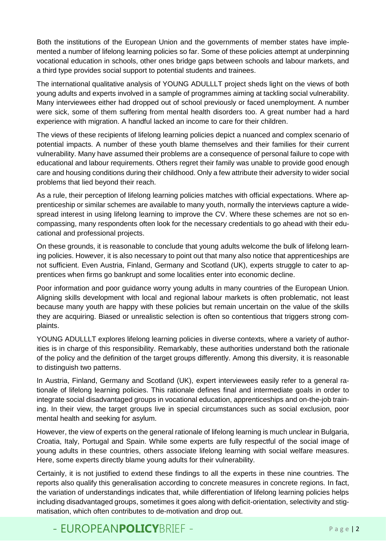Both the institutions of the European Union and the governments of member states have implemented a number of lifelong learning policies so far. Some of these policies attempt at underpinning vocational education in schools, other ones bridge gaps between schools and labour markets, and a third type provides social support to potential students and trainees.

The international qualitative analysis of YOUNG ADULLLT project sheds light on the views of both young adults and experts involved in a sample of programmes aiming at tackling social vulnerability. Many interviewees either had dropped out of school previously or faced unemployment. A number were sick, some of them suffering from mental health disorders too. A great number had a hard experience with migration. A handful lacked an income to care for their children.

The views of these recipients of lifelong learning policies depict a nuanced and complex scenario of potential impacts. A number of these youth blame themselves and their families for their current vulnerability. Many have assumed their problems are a consequence of personal failure to cope with educational and labour requirements. Others regret their family was unable to provide good enough care and housing conditions during their childhood. Only a few attribute their adversity to wider social problems that lied beyond their reach.

As a rule, their perception of lifelong learning policies matches with official expectations. Where apprenticeship or similar schemes are available to many youth, normally the interviews capture a widespread interest in using lifelong learning to improve the CV. Where these schemes are not so encompassing, many respondents often look for the necessary credentials to go ahead with their educational and professional projects.

On these grounds, it is reasonable to conclude that young adults welcome the bulk of lifelong learning policies. However, it is also necessary to point out that many also notice that apprenticeships are not sufficient. Even Austria, Finland, Germany and Scotland (UK), experts struggle to cater to apprentices when firms go bankrupt and some localities enter into economic decline.

Poor information and poor guidance worry young adults in many countries of the European Union. Aligning skills development with local and regional labour markets is often problematic, not least because many youth are happy with these policies but remain uncertain on the value of the skills they are acquiring. Biased or unrealistic selection is often so contentious that triggers strong complaints.

YOUNG ADULLLT explores lifelong learning policies in diverse contexts, where a variety of authorities is in charge of this responsibility. Remarkably, these authorities understand both the rationale of the policy and the definition of the target groups differently. Among this diversity, it is reasonable to distinguish two patterns.

In Austria, Finland, Germany and Scotland (UK), expert interviewees easily refer to a general rationale of lifelong learning policies. This rationale defines final and intermediate goals in order to integrate social disadvantaged groups in vocational education, apprenticeships and on-the-job training. In their view, the target groups live in special circumstances such as social exclusion, poor mental health and seeking for asylum.

However, the view of experts on the general rationale of lifelong learning is much unclear in Bulgaria, Croatia, Italy, Portugal and Spain. While some experts are fully respectful of the social image of young adults in these countries, others associate lifelong learning with social welfare measures. Here, some experts directly blame young adults for their vulnerability.

Certainly, it is not justified to extend these findings to all the experts in these nine countries. The reports also qualify this generalisation according to concrete measures in concrete regions. In fact, the variation of understandings indicates that, while differentiation of lifelong learning policies helps including disadvantaged groups, sometimes it goes along with deficit-orientation, selectivity and stigmatisation, which often contributes to de-motivation and drop out.

## - EUROPEANPOLICYBRIFF - Page | 2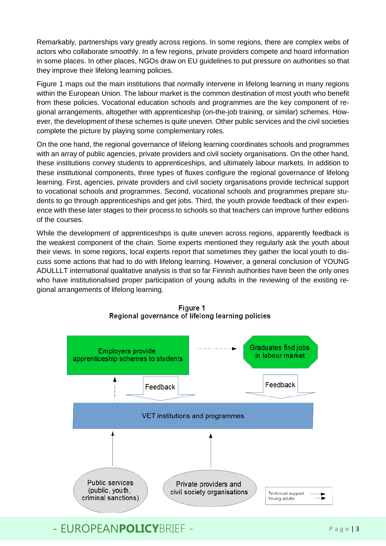Remarkably, partnerships vary greatly across regions. In some regions, there are complex webs of actors who collaborate smoothly. In a few regions, private providers compete and hoard information in some places. In other places, NGOs draw on EU guidelines to put pressure on authorities so that they improve their lifelong learning policies.

Figure 1 maps out the main institutions that normally intervene in lifelong learning in many regions within the European Union. The labour market is the common destination of most youth who benefit from these policies. Vocational education schools and programmes are the key component of regional arrangements, altogether with apprenticeship (on-the-job training, or similar) schemes. However, the development of these schemes is quite uneven. Other public services and the civil societies complete the picture by playing some complementary roles.

On the one hand, the regional governance of lifelong learning coordinates schools and programmes with an array of public agencies, private providers and civil society organisations. On the other hand, these institutions convey students to apprenticeships, and ultimately labour markets. In addition to these institutional components, three types of fluxes configure the regional governance of lifelong learning. First, agencies, private providers and civil society organisations provide technical support to vocational schools and programmes. Second, vocational schools and programmes prepare students to go through apprenticeships and get jobs. Third, the youth provide feedback of their experience with these later stages to their process to schools so that teachers can improve further editions of the courses.

While the development of apprenticeships is quite uneven across regions, apparently feedback is the weakest component of the chain. Some experts mentioned they regularly ask the youth about their views. In some regions, local experts report that sometimes they gather the local youth to discuss some actions that had to do with lifelong learning. However, a general conclusion of YOUNG ADULLLT international qualitative analysis is that so far Finnish authorities have been the only ones who have institutionalised proper participation of young adults in the reviewing of the existing regional arrangements of lifelong learning.



**Figure 1** Regional governance of lifelong learning policies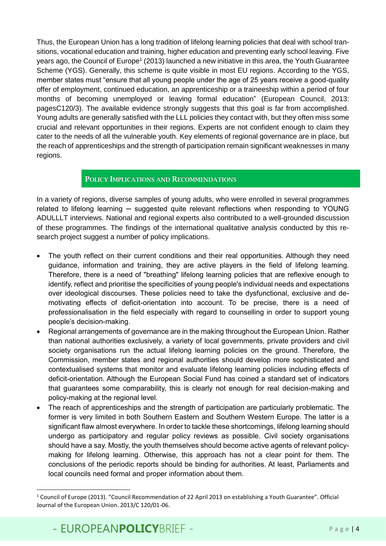Thus, the European Union has a long tradition of lifelong learning policies that deal with school transitions, vocational education and training, higher education and preventing early school leaving. Five years ago, the Council of Europe<sup>1</sup> (2013) launched a new initiative in this area, the Youth Guarantee Scheme (YGS). Generally, this scheme is quite visible in most EU regions. According to the YGS, member states must "ensure that all young people under the age of 25 years receive a good-quality offer of employment, continued education, an apprenticeship or a traineeship within a period of four months of becoming unemployed or leaving formal education" (European Council, 2013: pagesC120/3). The available evidence strongly suggests that this goal is far from accomplished. Young adults are generally satisfied with the LLL policies they contact with, but they often miss some crucial and relevant opportunities in their regions. Experts are not confident enough to claim they cater to the needs of all the vulnerable youth. Key elements of regional governance are in place, but the reach of apprenticeships and the strength of participation remain significant weaknesses in many regions.

#### POLICY IMPLICATIONS AND RECOMMENDATIONS

In a variety of regions, diverse samples of young adults, who were enrolled in several programmes related to lifelong learning — suggested quite relevant reflections when responding to YOUNG ADULLLT interviews. National and regional experts also contributed to a well-grounded discussion of these programmes. The findings of the international qualitative analysis conducted by this research project suggest a number of policy implications.

- The youth reflect on their current conditions and their real opportunities. Although they need guidance, information and training, they are active players in the field of lifelong learning. Therefore, there is a need of "breathing" lifelong learning policies that are reflexive enough to identify, reflect and prioritise the specificities of young people's individual needs and expectations over ideological discourses. These policies need to take the dysfunctional, exclusive and demotivating effects of deficit-orientation into account. To be precise, there is a need of professionalisation in the field especially with regard to counselling in order to support young people's decision-making.
- Regional arrangements of governance are in the making throughout the European Union. Rather than national authorities exclusively, a variety of local governments, private providers and civil society organisations run the actual lifelong learning policies on the ground. Therefore, the Commission, member states and regional authorities should develop more sophisticated and contextualised systems that monitor and evaluate lifelong learning policies including effects of deficit-orientation. Although the European Social Fund has coined a standard set of indicators that guarantees some comparability, this is clearly not enough for real decision-making and policy-making at the regional level.
- The reach of apprenticeships and the strength of participation are particularly problematic. The former is very limited in both Southern Eastern and Southern Western Europe. The latter is a significant flaw almost everywhere. In order to tackle these shortcomings, lifelong learning should undergo as participatory and regular policy reviews as possible. Civil society organisations should have a say. Mostly, the youth themselves should become active agents of relevant policymaking for lifelong learning. Otherwise, this approach has not a clear point for them. The conclusions of the periodic reports should be binding for authorities. At least, Parliaments and local councils need formal and proper information about them.

**.** 

<sup>1</sup> Council of Europe (2013). "Council Recommendation of 22 April 2013 on establishing a Youth Guarantee". Official Journal of the European Union. 2013/C 120/01-06.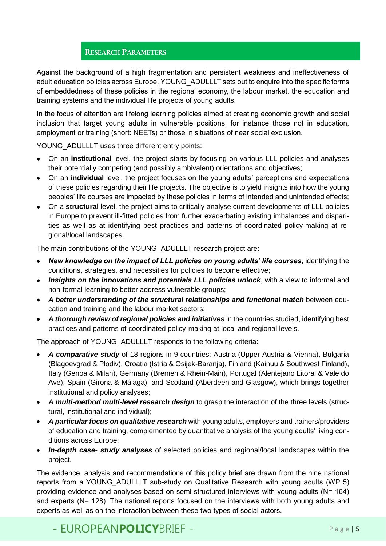#### RESEARCH PARAMETERS

Against the background of a high fragmentation and persistent weakness and ineffectiveness of adult education policies across Europe, YOUNG\_ADULLLT sets out to enquire into the specific forms of embeddedness of these policies in the regional economy, the labour market, the education and training systems and the individual life projects of young adults.

In the focus of attention are lifelong learning policies aimed at creating economic growth and social inclusion that target young adults in vulnerable positions, for instance those not in education, employment or training (short: NEETs) or those in situations of near social exclusion.

YOUNG ADULLLT uses three different entry points:

- On an **institutional** level, the project starts by focusing on various LLL policies and analyses their potentially competing (and possibly ambivalent) orientations and objectives;
- On an **individual** level, the project focuses on the young adults' perceptions and expectations of these policies regarding their life projects. The objective is to yield insights into how the young peoples' life courses are impacted by these policies in terms of intended and unintended effects;
- On a **structural** level, the project aims to critically analyse current developments of LLL policies in Europe to prevent ill-fitted policies from further exacerbating existing imbalances and disparities as well as at identifying best practices and patterns of coordinated policy-making at regional/local landscapes.

The main contributions of the YOUNG\_ADULLLT research project are:

- *New knowledge on the impact of LLL policies on young adults' life courses*, identifying the conditions, strategies, and necessities for policies to become effective;
- *Insights on the innovations and potentials LLL policies unlock*, with a view to informal and non-formal learning to better address vulnerable groups;
- *A better understanding of the structural relationships and functional match* between education and training and the labour market sectors;
- *A thorough review of regional policies and initiatives* in the countries studied, identifying best practices and patterns of coordinated policy-making at local and regional levels.

The approach of YOUNG\_ADULLLT responds to the following criteria:

- *A comparative study* of 18 regions in 9 countries: Austria (Upper Austria & Vienna), Bulgaria (Blagoevgrad & Plodiv), Croatia (Istria & Osijek-Baranja), Finland (Kainuu & Southwest Finland), Italy (Genoa & Milan), Germany (Bremen & Rhein-Main), Portugal (Alentejano Litoral & Vale do Ave), Spain (Girona & Málaga), and Scotland (Aberdeen and Glasgow), which brings together institutional and policy analyses;
- *A multi-method multi-level research design* to grasp the interaction of the three levels (structural, institutional and individual);
- *A particular focus on qualitative research* with young adults, employers and trainers/providers of education and training, complemented by quantitative analysis of the young adults' living conditions across Europe;
- *In-depth case- study analyses* of selected policies and regional/local landscapes within the project.

The evidence, analysis and recommendations of this policy brief are drawn from the nine national reports from a YOUNG ADULLLT sub-study on Qualitative Research with young adults (WP 5) providing evidence and analyses based on semi-structured interviews with young adults (N= 164) and experts (N= 128). The national reports focused on the interviews with both young adults and experts as well as on the interaction between these two types of social actors.

## - EUROPEANPOLICYBRIFF - Page 15